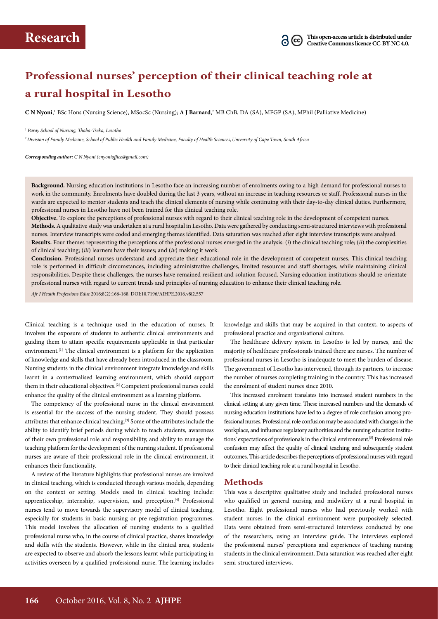# **Professional nurses' perception of their clinical teaching role at a rural hospital in Lesotho**

**C N Nyoni**, <sup>1</sup> BSc Hons (Nursing Science), MSocSc (Nursing); **A J Barnard**, 2 MB ChB, DA (SA), MFGP (SA), MPhil (Palliative Medicine)

#### <sup>1</sup> *Paray School of Nursing, Thaba-Tseka, Lesotho*

<sup>2</sup>*Division of Family Medicine, School of Public Health and Family Medicine, Faculty of Health Sciences,University of Cape Town, South Africa*

*Corresponding author: C N Nyoni (cnyonioffice@gmail.com)*

**Background.** Nursing education institutions in Lesotho face an increasing number of enrolments owing to a high demand for professional nurses to work in the community. Enrolments have doubled during the last 3 years, without an increase in teaching resources or staff. Professional nurses in the wards are expected to mentor students and teach the clinical elements of nursing while continuing with their day-to-day clinical duties. Furthermore, professional nurses in Lesotho have not been trained for this clinical teaching role.

**Objective.** To explore the perceptions of professional nurses with regard to their clinical teaching role in the development of competent nurses. **Methods.** A qualitative study was undertaken at a rural hospital in Lesotho. Data were gathered by conducting semi-structured interviews with professional nurses. Interview transcripts were coded and emerging themes identified. Data saturation was reached after eight interview transcripts were analysed. **Results.** Four themes representing the perceptions of the professional nurses emerged in the analysis: (*i*) the clinical teaching role; (*ii*) the complexities of clinical teaching; (*iii*) learners have their issues; and (*iv*) making it work.

**Conclusion.** Professional nurses understand and appreciate their educational role in the development of competent nurses. This clinical teaching role is performed in difficult circumstances, including administrative challenges, limited resources and staff shortages, while maintaining clinical responsibilities. Despite these challenges, the nurses have remained resilient and solution focused. Nursing education institutions should re-orientate professional nurses with regard to current trends and principles of nursing education to enhance their clinical teaching role.

*Afr J Health Professions Educ* 2016;8(2):166-168. DOI:10.7196/AJHPE.2016.v8i2.557

Clinical teaching is a technique used in the education of nurses. It involves the exposure of students to authentic clinical environments and guiding them to attain specific requirements applicable in that particular environment.<sup>[1]</sup> The clinical environment is a platform for the application of knowledge and skills that have already been introduced in the classroom. Nursing students in the clinical environment integrate knowledge and skills learnt in a contextualised learning environment, which should support them in their educational objectives.[2] Competent professional nurses could enhance the quality of the clinical environment as a learning platform.

The competency of the professional nurse in the clinical environment is essential for the success of the nursing student. They should possess attributes that enhance clinical teaching.<sup>[3]</sup> Some of the attributes include the ability to identify brief periods during which to teach students, awareness of their own professional role and responsibility, and ability to manage the teaching platform for the development of the nursing student. If professional nurses are aware of their professional role in the clinical environment, it enhances their functionality.

A review of the literature highlights that professional nurses are involved in clinical teaching, which is conducted through various models, depending on the context or setting. Models used in clinical teaching include: apprenticeship, internship, supervision, and preception.[4] Professional nurses tend to move towards the supervisory model of clinical teaching, especially for students in basic nursing or pre-registration programmes. This model involves the allocation of nursing students to a qualified professional nurse who, in the course of clinical practice, shares knowledge and skills with the students. However, while in the clinical area, students are expected to observe and absorb the lessons learnt while participating in activities overseen by a qualified professional nurse. The learning includes

knowledge and skills that may be acquired in that context, to aspects of professional practice and organisational culture.

The healthcare delivery system in Lesotho is led by nurses, and the majority of healthcare professionals trained there are nurses. The number of professional nurses in Lesotho is inadequate to meet the burden of disease. The government of Lesotho has intervened, through its partners, to increase the number of nurses completing training in the country. This has increased the enrolment of student nurses since 2010.

This increased enrolment translates into increased student numbers in the clinical setting at any given time. These increased numbers and the demands of nursing education institutions have led to a degree of role confusion among professional nurses. Professional role confusion may be associated with changes in the workplace, and influence regulatory authorities and the nursing education institutions' expectations of professionals in the clinical environment.[5] Professional role confusion may affect the quality of clinical teaching and subsequently student outcomes. This article describes the perceptions of professional nurses with regard to their clinical teaching role at a rural hospital in Lesotho.

### **Methods**

This was a descriptive qualitative study and included professional nurses who qualified in general nursing and midwifery at a rural hospital in Lesotho. Eight professional nurses who had previously worked with student nurses in the clinical environment were purposively selected. Data were obtained from semi-structured interviews conducted by one of the researchers, using an interview guide. The interviews explored the professional nurses' perceptions and experiences of teaching nursing students in the clinical environment. Data saturation was reached after eight semi-structured interviews.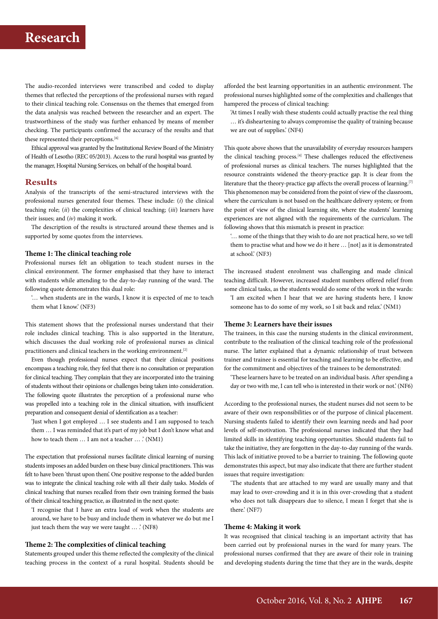# **Research**

The audio-recorded interviews were transcribed and coded to display themes that reflected the perceptions of the professional nurses with regard to their clinical teaching role. Consensus on the themes that emerged from the data analysis was reached between the researcher and an expert. The trustworthiness of the study was further enhanced by means of member checking. The participants confirmed the accuracy of the results and that these represented their perceptions.<sup>[6]</sup>

Ethical approval was granted by the Institutional Review Board of the Ministry of Health of Lesotho (REC 05/2013). Access to the rural hospital was granted by the manager, Hospital Nursing Services, on behalf of the hospital board.

### **Results**

Analysis of the transcripts of the semi-structured interviews with the professional nurses generated four themes. These include: (*i*) the clinical teaching role; (*ii*) the complexities of clinical teaching; (*iii*) learners have their issues; and (*iv*) making it work.

The description of the results is structured around these themes and is supported by some quotes from the interviews.

#### **Theme 1: The clinical teaching role**

Professional nurses felt an obligation to teach student nurses in the clinical environment. The former emphasised that they have to interact with students while attending to the day-to-day running of the ward. The following quote demonstrates this dual role:

'… when students are in the wards, I know it is expected of me to teach them what I know.' (NF3)

This statement shows that the professional nurses understand that their role includes clinical teaching. This is also supported in the literature, which discusses the dual working role of professional nurses as clinical practitioners and clinical teachers in the working environment.[2]

Even though professional nurses expect that their clinical positions encompass a teaching role, they feel that there is no consultation or preparation for clinical teaching. They complain that they are incorporated into the training of students without their opinions or challenges being taken into consideration. The following quote illustrates the perception of a professional nurse who was propelled into a teaching role in the clinical situation, with insufficient preparation and consequent denial of identification as a teacher:

'Just when I got employed … I see students and I am supposed to teach them … I was reminded that it's part of my job but I don't know what and how to teach them ... I am not a teacher ... ' (NM1)

The expectation that professional nurses facilitate clinical learning of nursing students imposes an added burden on these busy clinical practitioners. This was felt to have been 'thrust upon them'. One positive response to the added burden was to integrate the clinical teaching role with all their daily tasks. Models of clinical teaching that nurses recalled from their own training formed the basis of their clinical teaching practice, as illustrated in the next quote:

'I recognise that I have an extra load of work when the students are around, we have to be busy and include them in whatever we do but me I just teach them the way we were taught ... .' (NF8)

### **Theme 2: The complexities of clinical teaching**

Statements grouped under this theme reflected the complexity of the clinical teaching process in the context of a rural hospital. Students should be

afforded the best learning opportunities in an authentic environment. The professional nurses highlighted some of the complexities and challenges that hampered the process of clinical teaching:

'At times I really wish these students could actually practise the real thing … it's disheartening to always compromise the quality of training because we are out of supplies.' (NF4)

This quote above shows that the unavailability of everyday resources hampers the clinical teaching process.<sup>[4]</sup> These challenges reduced the effectiveness of professional nurses as clinical teachers. The nurses highlighted that the resource constraints widened the theory-practice gap. It is clear from the literature that the theory-practice gap affects the overall process of learning.<sup>[7]</sup> This phenomenon may be considered from the point of view of the classroom, where the curriculum is not based on the healthcare delivery system; or from the point of view of the clinical learning site, where the students' learning experiences are not aligned with the requirements of the curriculum. The following shows that this mismatch is present in practice:

'… some of the things that they wish to do are not practical here, so we tell them to practise what and how we do it here … [not] as it is demonstrated at school.' (NF3)

The increased student enrolment was challenging and made clinical teaching difficult. However, increased student numbers offered relief from some clinical tasks, as the students would do some of the work in the wards:

'I am excited when I hear that we are having students here, I know someone has to do some of my work, so I sit back and relax.' (NM1)

#### **Theme 3: Learners have their issues**

The trainees, in this case the nursing students in the clinical environment, contribute to the realisation of the clinical teaching role of the professional nurse. The latter explained that a dynamic relationship of trust between trainer and trainee is essential for teaching and learning to be effective, and for the commitment and objectives of the trainees to be demonstrated:

'These learners have to be treated on an individual basis. After spending a day or two with me, I can tell who is interested in their work or not.' (NF6)

According to the professional nurses, the student nurses did not seem to be aware of their own responsibilities or of the purpose of clinical placement. Nursing students failed to identify their own learning needs and had poor levels of self-motivation. The professional nurses indicated that they had limited skills in identifying teaching opportunities. Should students fail to take the initiative, they are forgotten in the day-to-day running of the wards. This lack of initiative proved to be a barrier to training. The following quote demonstrates this aspect, but may also indicate that there are further student issues that require investigation:

'The students that are attached to my ward are usually many and that may lead to over-crowding and it is in this over-crowding that a student who does not talk disappears due to silence, I mean I forget that she is there.' (NF7)

### **Theme 4: Making it work**

It was recognised that clinical teaching is an important activity that has been carried out by professional nurses in the ward for many years. The professional nurses confirmed that they are aware of their role in training and developing students during the time that they are in the wards, despite